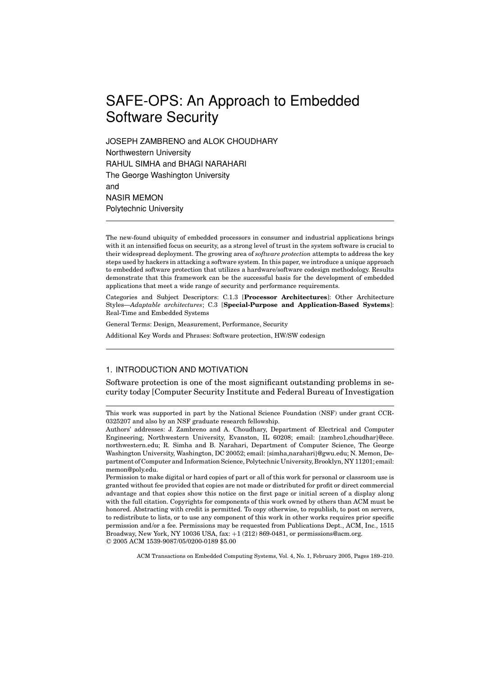# SAFE-OPS: An Approach to Embedded Software Security

JOSEPH ZAMBRENO and ALOK CHOUDHARY Northwestern University RAHUL SIMHA and BHAGI NARAHARI The George Washington University and NASIR MEMON Polytechnic University

The new-found ubiquity of embedded processors in consumer and industrial applications brings with it an intensified focus on security, as a strong level of trust in the system software is crucial to their widespread deployment. The growing area of *software protection* attempts to address the key steps used by hackers in attacking a software system. In this paper, we introduce a unique approach to embedded software protection that utilizes a hardware/software codesign methodology. Results demonstrate that this framework can be the successful basis for the development of embedded applications that meet a wide range of security and performance requirements.

Categories and Subject Descriptors: C.1.3 [**Processor Architectures**]: Other Architecture Styles—*Adaptable architectures*; C.3 [**Special-Purpose and Application-Based Systems**]: Real-Time and Embedded Systems

General Terms: Design, Measurement, Performance, Security

Additional Key Words and Phrases: Software protection, HW/SW codesign

# 1. INTRODUCTION AND MOTIVATION

Software protection is one of the most significant outstanding problems in security today [Computer Security Institute and Federal Bureau of Investigation

Permission to make digital or hard copies of part or all of this work for personal or classroom use is granted without fee provided that copies are not made or distributed for profit or direct commercial advantage and that copies show this notice on the first page or initial screen of a display along with the full citation. Copyrights for components of this work owned by others than ACM must be honored. Abstracting with credit is permitted. To copy otherwise, to republish, to post on servers, to redistribute to lists, or to use any component of this work in other works requires prior specific permission and/or a fee. Permissions may be requested from Publications Dept., ACM, Inc., 1515 Broadway, New York, NY 10036 USA,  $\text{fax:} +1$  (212) 869-0481, or permissions@acm.org. <sup>C</sup> 2005 ACM 1539-9087/05/0200-0189 \$5.00

This work was supported in part by the National Science Foundation (NSF) under grant CCR-0325207 and also by an NSF graduate research fellowship.

Authors' addresses: J. Zambreno and A. Choudhary, Department of Electrical and Computer Engineering, Northwestern University, Evanston, IL 60208; email: {zambro1,choudhar}@ece. northwestern.edu; R. Simha and B. Narahari, Department of Computer Science, The George Washington University, Washington, DC 20052; email: {simha,narahari}@gwu.edu; N. Memon, Department of Computer and Information Science, Polytechnic University, Brooklyn, NY 11201; email: memon@poly.edu.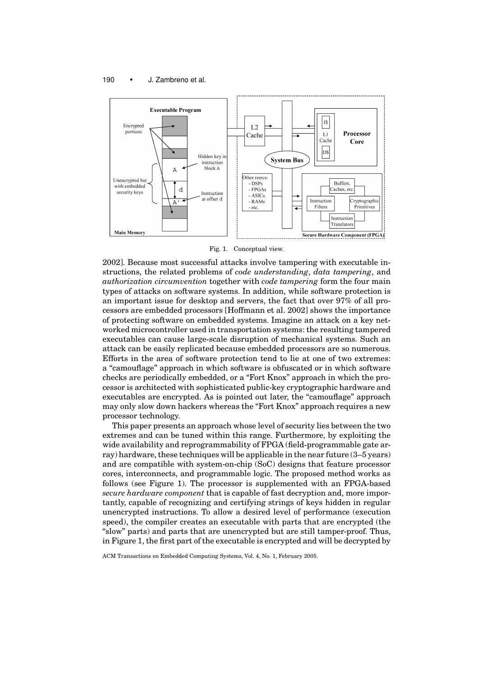

Fig. 1. Conceptual view.

2002]. Because most successful attacks involve tampering with executable instructions, the related problems of *code understanding*, *data tampering*, and *authorization circumvention* together with *code tampering* form the four main types of attacks on software systems. In addition, while software protection is an important issue for desktop and servers, the fact that over 97% of all processors are embedded processors [Hoffmann et al. 2002] shows the importance of protecting software on embedded systems. Imagine an attack on a key networked microcontroller used in transportation systems: the resulting tampered executables can cause large-scale disruption of mechanical systems. Such an attack can be easily replicated because embedded processors are so numerous. Efforts in the area of software protection tend to lie at one of two extremes: a "camouflage" approach in which software is obfuscated or in which software checks are periodically embedded, or a "Fort Knox" approach in which the processor is architected with sophisticated public-key cryptographic hardware and executables are encrypted. As is pointed out later, the "camouflage" approach may only slow down hackers whereas the "Fort Knox" approach requires a new processor technology.

This paper presents an approach whose level of security lies between the two extremes and can be tuned within this range. Furthermore, by exploiting the wide availability and reprogrammability of FPGA (field-programmable gate array) hardware, these techniques will be applicable in the near future (3–5 years) and are compatible with system-on-chip (SoC) designs that feature processor cores, interconnects, and programmable logic. The proposed method works as follows (see Figure 1). The processor is supplemented with an FPGA-based *secure hardware component* that is capable of fast decryption and, more importantly, capable of recognizing and certifying strings of keys hidden in regular unencrypted instructions. To allow a desired level of performance (execution speed), the compiler creates an executable with parts that are encrypted (the "slow" parts) and parts that are unencrypted but are still tamper-proof. Thus, in Figure 1, the first part of the executable is encrypted and will be decrypted by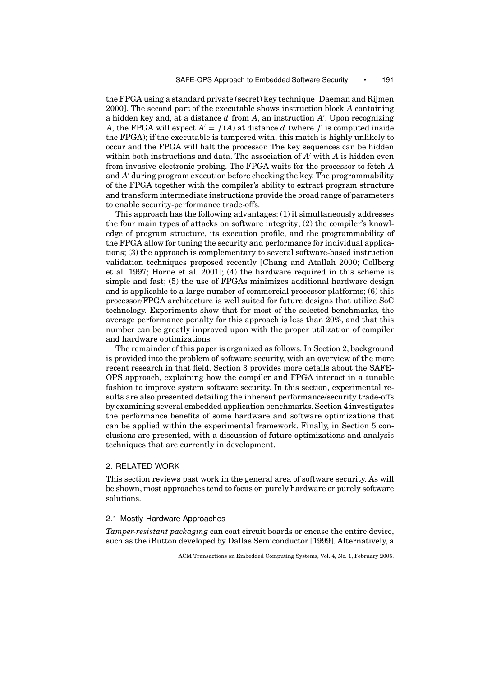the FPGA using a standard private (secret) key technique [Daeman and Rijmen 2000]. The second part of the executable shows instruction block *A* containing a hidden key and, at a distance *d* from *A*, an instruction *A'*. Upon recognizing *A*, the FPGA will expect  $A' = f(A)$  at distance *d* (where *f* is computed inside the FPGA); if the executable is tampered with, this match is highly unlikely to occur and the FPGA will halt the processor. The key sequences can be hidden within both instructions and data. The association of  $A'$  with  $A$  is hidden even from invasive electronic probing. The FPGA waits for the processor to fetch *A* and A' during program execution before checking the key. The programmability of the FPGA together with the compiler's ability to extract program structure and transform intermediate instructions provide the broad range of parameters to enable security-performance trade-offs.

This approach has the following advantages: (1) it simultaneously addresses the four main types of attacks on software integrity; (2) the compiler's knowledge of program structure, its execution profile, and the programmability of the FPGA allow for tuning the security and performance for individual applications; (3) the approach is complementary to several software-based instruction validation techniques proposed recently [Chang and Atallah 2000; Collberg et al. 1997; Horne et al. 2001]; (4) the hardware required in this scheme is simple and fast; (5) the use of FPGAs minimizes additional hardware design and is applicable to a large number of commercial processor platforms; (6) this processor/FPGA architecture is well suited for future designs that utilize SoC technology. Experiments show that for most of the selected benchmarks, the average performance penalty for this approach is less than 20%, and that this number can be greatly improved upon with the proper utilization of compiler and hardware optimizations.

The remainder of this paper is organized as follows. In Section 2, background is provided into the problem of software security, with an overview of the more recent research in that field. Section 3 provides more details about the SAFE-OPS approach, explaining how the compiler and FPGA interact in a tunable fashion to improve system software security. In this section, experimental results are also presented detailing the inherent performance/security trade-offs by examining several embedded application benchmarks. Section 4 investigates the performance benefits of some hardware and software optimizations that can be applied within the experimental framework. Finally, in Section 5 conclusions are presented, with a discussion of future optimizations and analysis techniques that are currently in development.

# 2. RELATED WORK

This section reviews past work in the general area of software security. As will be shown, most approaches tend to focus on purely hardware or purely software solutions.

# 2.1 Mostly-Hardware Approaches

*Tamper-resistant packaging* can coat circuit boards or encase the entire device, such as the iButton developed by Dallas Semiconductor [1999]. Alternatively, a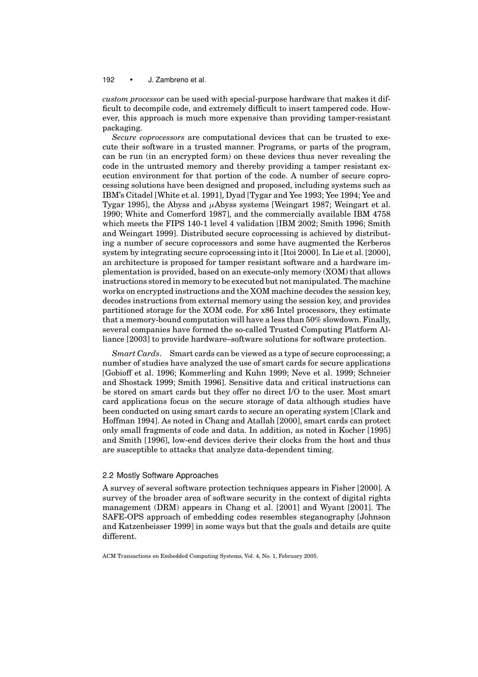*custom processor* can be used with special-purpose hardware that makes it difficult to decompile code, and extremely difficult to insert tampered code. However, this approach is much more expensive than providing tamper-resistant packaging.

*Secure coprocessors* are computational devices that can be trusted to execute their software in a trusted manner. Programs, or parts of the program, can be run (in an encrypted form) on these devices thus never revealing the code in the untrusted memory and thereby providing a tamper resistant execution environment for that portion of the code. A number of secure coprocessing solutions have been designed and proposed, including systems such as IBM's Citadel [White et al. 1991], Dyad [Tygar and Yee 1993; Yee 1994; Yee and Tygar 1995], the Abyss and  $\mu$ Abyss systems [Weingart 1987; Weingart et al. 1990; White and Comerford 1987], and the commercially available IBM 4758 which meets the FIPS 140-1 level 4 validation [IBM 2002; Smith 1996; Smith and Weingart 1999]. Distributed secure coprocessing is achieved by distributing a number of secure coprocessors and some have augmented the Kerberos system by integrating secure coprocessing into it [Itoi 2000]. In Lie et al. [2000], an architecture is proposed for tamper resistant software and a hardware implementation is provided, based on an execute-only memory (XOM) that allows instructions stored in memory to be executed but not manipulated. The machine works on encrypted instructions and the XOM machine decodes the session key, decodes instructions from external memory using the session key, and provides partitioned storage for the XOM code. For x86 Intel processors, they estimate that a memory-bound computation will have a less than 50% slowdown. Finally, several companies have formed the so-called Trusted Computing Platform Alliance [2003] to provide hardware–software solutions for software protection.

*Smart Cards*. Smart cards can be viewed as a type of secure coprocessing; a number of studies have analyzed the use of smart cards for secure applications [Gobioff et al. 1996; Kommerling and Kuhn 1999; Neve et al. 1999; Schneier and Shostack 1999; Smith 1996]. Sensitive data and critical instructions can be stored on smart cards but they offer no direct I/O to the user. Most smart card applications focus on the secure storage of data although studies have been conducted on using smart cards to secure an operating system [Clark and Hoffman 1994]. As noted in Chang and Atallah [2000], smart cards can protect only small fragments of code and data. In addition, as noted in Kocher [1995] and Smith [1996], low-end devices derive their clocks from the host and thus are susceptible to attacks that analyze data-dependent timing.

# 2.2 Mostly Software Approaches

A survey of several software protection techniques appears in Fisher [2000]. A survey of the broader area of software security in the context of digital rights management (DRM) appears in Chang et al. [2001] and Wyant [2001]. The SAFE-OPS approach of embedding codes resembles steganography [Johnson and Katzenbeisser 1999] in some ways but that the goals and details are quite different.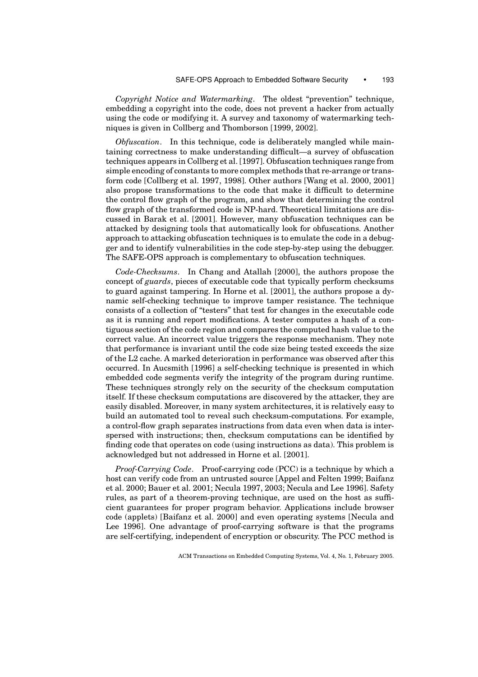*Copyright Notice and Watermarking*. The oldest "prevention" technique, embedding a copyright into the code, does not prevent a hacker from actually using the code or modifying it. A survey and taxonomy of watermarking techniques is given in Collberg and Thomborson [1999, 2002].

*Obfuscation*. In this technique, code is deliberately mangled while maintaining correctness to make understanding difficult—a survey of obfuscation techniques appears in Collberg et al. [1997]. Obfuscation techniques range from simple encoding of constants to more complex methods that re-arrange or transform code [Collberg et al. 1997, 1998]. Other authors [Wang et al. 2000, 2001] also propose transformations to the code that make it difficult to determine the control flow graph of the program, and show that determining the control flow graph of the transformed code is NP-hard. Theoretical limitations are discussed in Barak et al. [2001]. However, many obfuscation techniques can be attacked by designing tools that automatically look for obfuscations. Another approach to attacking obfuscation techniques is to emulate the code in a debugger and to identify vulnerabilities in the code step-by-step using the debugger. The SAFE-OPS approach is complementary to obfuscation techniques.

*Code-Checksums*. In Chang and Atallah [2000], the authors propose the concept of *guards*, pieces of executable code that typically perform checksums to guard against tampering. In Horne et al. [2001], the authors propose a dynamic self-checking technique to improve tamper resistance. The technique consists of a collection of "testers" that test for changes in the executable code as it is running and report modifications. A tester computes a hash of a contiguous section of the code region and compares the computed hash value to the correct value. An incorrect value triggers the response mechanism. They note that performance is invariant until the code size being tested exceeds the size of the L2 cache. A marked deterioration in performance was observed after this occurred. In Aucsmith [1996] a self-checking technique is presented in which embedded code segments verify the integrity of the program during runtime. These techniques strongly rely on the security of the checksum computation itself. If these checksum computations are discovered by the attacker, they are easily disabled. Moreover, in many system architectures, it is relatively easy to build an automated tool to reveal such checksum-computations. For example, a control-flow graph separates instructions from data even when data is interspersed with instructions; then, checksum computations can be identified by finding code that operates on code (using instructions as data). This problem is acknowledged but not addressed in Horne et al. [2001].

*Proof-Carrying Code*. Proof-carrying code (PCC) is a technique by which a host can verify code from an untrusted source [Appel and Felten 1999; Baifanz et al. 2000; Bauer et al. 2001; Necula 1997, 2003; Necula and Lee 1996]. Safety rules, as part of a theorem-proving technique, are used on the host as sufficient guarantees for proper program behavior. Applications include browser code (applets) [Baifanz et al. 2000] and even operating systems [Necula and Lee 1996]. One advantage of proof-carrying software is that the programs are self-certifying, independent of encryption or obscurity. The PCC method is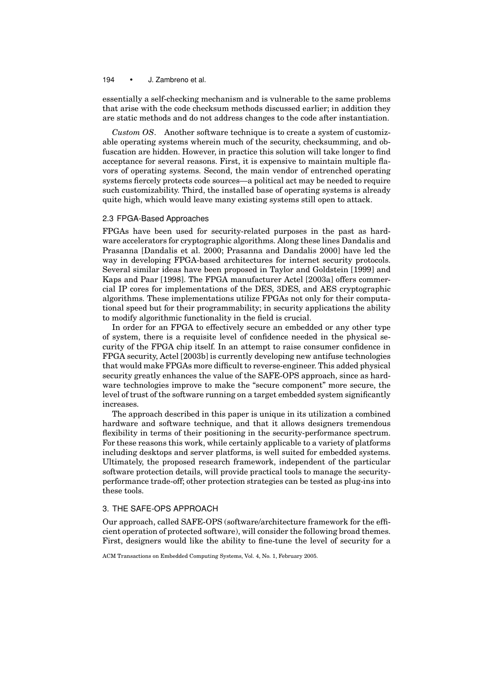essentially a self-checking mechanism and is vulnerable to the same problems that arise with the code checksum methods discussed earlier; in addition they are static methods and do not address changes to the code after instantiation.

*Custom OS*. Another software technique is to create a system of customizable operating systems wherein much of the security, checksumming, and obfuscation are hidden. However, in practice this solution will take longer to find acceptance for several reasons. First, it is expensive to maintain multiple flavors of operating systems. Second, the main vendor of entrenched operating systems fiercely protects code sources—a political act may be needed to require such customizability. Third, the installed base of operating systems is already quite high, which would leave many existing systems still open to attack.

## 2.3 FPGA-Based Approaches

FPGAs have been used for security-related purposes in the past as hardware accelerators for cryptographic algorithms. Along these lines Dandalis and Prasanna [Dandalis et al. 2000; Prasanna and Dandalis 2000] have led the way in developing FPGA-based architectures for internet security protocols. Several similar ideas have been proposed in Taylor and Goldstein [1999] and Kaps and Paar [1998]. The FPGA manufacturer Actel [2003a] offers commercial IP cores for implementations of the DES, 3DES, and AES cryptographic algorithms. These implementations utilize FPGAs not only for their computational speed but for their programmability; in security applications the ability to modify algorithmic functionality in the field is crucial.

In order for an FPGA to effectively secure an embedded or any other type of system, there is a requisite level of confidence needed in the physical security of the FPGA chip itself. In an attempt to raise consumer confidence in FPGA security, Actel [2003b] is currently developing new antifuse technologies that would make FPGAs more difficult to reverse-engineer. This added physical security greatly enhances the value of the SAFE-OPS approach, since as hardware technologies improve to make the "secure component" more secure, the level of trust of the software running on a target embedded system significantly increases.

The approach described in this paper is unique in its utilization a combined hardware and software technique, and that it allows designers tremendous flexibility in terms of their positioning in the security-performance spectrum. For these reasons this work, while certainly applicable to a variety of platforms including desktops and server platforms, is well suited for embedded systems. Ultimately, the proposed research framework, independent of the particular software protection details, will provide practical tools to manage the securityperformance trade-off; other protection strategies can be tested as plug-ins into these tools.

# 3. THE SAFE-OPS APPROACH

Our approach, called SAFE-OPS (software/architecture framework for the efficient operation of protected software), will consider the following broad themes. First, designers would like the ability to fine-tune the level of security for a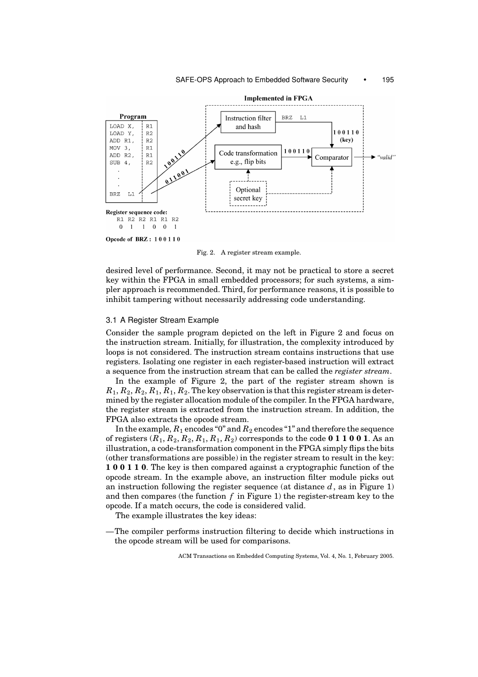

Opcode of BRZ: 100110

Fig. 2. A register stream example.

desired level of performance. Second, it may not be practical to store a secret key within the FPGA in small embedded processors; for such systems, a simpler approach is recommended. Third, for performance reasons, it is possible to inhibit tampering without necessarily addressing code understanding.

# 3.1 A Register Stream Example

Consider the sample program depicted on the left in Figure 2 and focus on the instruction stream. Initially, for illustration, the complexity introduced by loops is not considered. The instruction stream contains instructions that use registers. Isolating one register in each register-based instruction will extract a sequence from the instruction stream that can be called the *register stream*.

In the example of Figure 2, the part of the register stream shown is  $R_1, R_2, R_2, R_1, R_1, R_2$ . The key observation is that this register stream is determined by the register allocation module of the compiler. In the FPGA hardware, the register stream is extracted from the instruction stream. In addition, the FPGA also extracts the opcode stream.

In the example,  $R_1$  encodes "0" and  $R_2$  encodes "1" and therefore the sequence of registers  $(R_1, R_2, R_2, R_1, R_1, R_2)$  corresponds to the code **0 1 1 0 0 1**. As an illustration, a code-transformation component in the FPGA simply flips the bits (other transformations are possible) in the register stream to result in the key: **100110**. The key is then compared against a cryptographic function of the opcode stream. In the example above, an instruction filter module picks out an instruction following the register sequence (at distance  $d$ , as in Figure 1) and then compares (the function  $f$  in Figure 1) the register-stream key to the opcode. If a match occurs, the code is considered valid.

The example illustrates the key ideas:

—The compiler performs instruction filtering to decide which instructions in the opcode stream will be used for comparisons.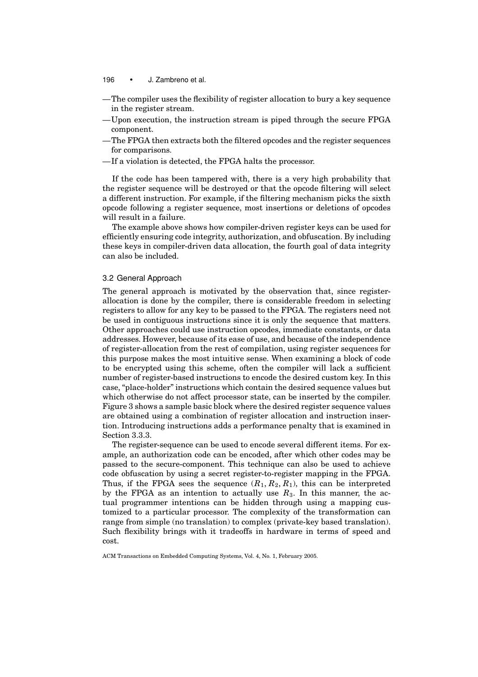- —The compiler uses the flexibility of register allocation to bury a key sequence in the register stream.
- —Upon execution, the instruction stream is piped through the secure FPGA component.
- —The FPGA then extracts both the filtered opcodes and the register sequences for comparisons.
- —If a violation is detected, the FPGA halts the processor.

If the code has been tampered with, there is a very high probability that the register sequence will be destroyed or that the opcode filtering will select a different instruction. For example, if the filtering mechanism picks the sixth opcode following a register sequence, most insertions or deletions of opcodes will result in a failure.

The example above shows how compiler-driven register keys can be used for efficiently ensuring code integrity, authorization, and obfuscation. By including these keys in compiler-driven data allocation, the fourth goal of data integrity can also be included.

# 3.2 General Approach

The general approach is motivated by the observation that, since registerallocation is done by the compiler, there is considerable freedom in selecting registers to allow for any key to be passed to the FPGA. The registers need not be used in contiguous instructions since it is only the sequence that matters. Other approaches could use instruction opcodes, immediate constants, or data addresses. However, because of its ease of use, and because of the independence of register-allocation from the rest of compilation, using register sequences for this purpose makes the most intuitive sense. When examining a block of code to be encrypted using this scheme, often the compiler will lack a sufficient number of register-based instructions to encode the desired custom key. In this case, "place-holder" instructions which contain the desired sequence values but which otherwise do not affect processor state, can be inserted by the compiler. Figure 3 shows a sample basic block where the desired register sequence values are obtained using a combination of register allocation and instruction insertion. Introducing instructions adds a performance penalty that is examined in Section 3.3.3.

The register-sequence can be used to encode several different items. For example, an authorization code can be encoded, after which other codes may be passed to the secure-component. This technique can also be used to achieve code obfuscation by using a secret register-to-register mapping in the FPGA. Thus, if the FPGA sees the sequence  $(R_1, R_2, R_1)$ , this can be interpreted by the FPGA as an intention to actually use  $R_3$ . In this manner, the actual programmer intentions can be hidden through using a mapping customized to a particular processor. The complexity of the transformation can range from simple (no translation) to complex (private-key based translation). Such flexibility brings with it tradeoffs in hardware in terms of speed and cost.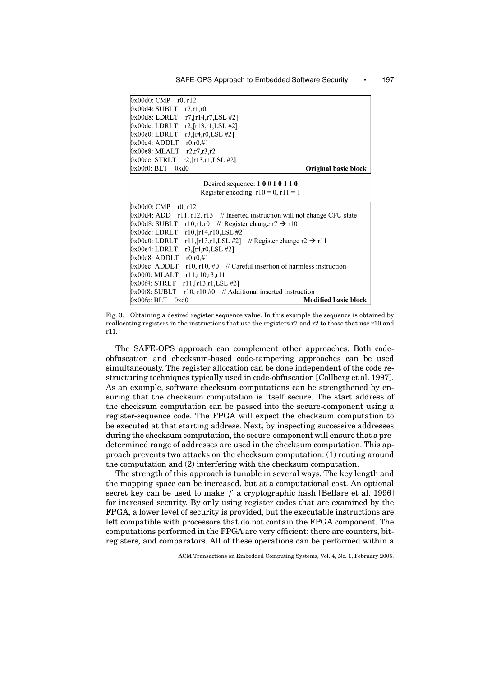| $0x00d0:$ CMP $r0, r12$                         |                      |
|-------------------------------------------------|----------------------|
| $0x00d4$ : SUBLT r7,r1,r0                       |                      |
| $0x00d8$ : LDRLT r7, [r14, r7, LSL #2]          |                      |
| $0x00dc$ : LDRLT r2, [r13, r1, LSL #2]          |                      |
| $0x00e0:$ LDRLT $r3$ , $r4$ , $r0$ , LSL $#2$ ] |                      |
| $0x00e4$ : ADDLT $r0, r0, \#1$                  |                      |
| $0x00e8$ : MLALT $r2, r7, r3, r2$               |                      |
| $0x00ec$ : STRLT r2, [r13, r1, LSL #2]          |                      |
| $0x00f0$ : BLT $0xd0$                           | Original basic block |

Desired sequence:  $10010110$ Register encoding:  $r10 = 0$ ,  $r11 = 1$ 

Fig. 3. Obtaining a desired register sequence value. In this example the sequence is obtained by reallocating registers in the instructions that use the registers r7 and r2 to those that use r10 and r11.

The SAFE-OPS approach can complement other approaches. Both codeobfuscation and checksum-based code-tampering approaches can be used simultaneously. The register allocation can be done independent of the code restructuring techniques typically used in code-obfuscation [Collberg et al. 1997]. As an example, software checksum computations can be strengthened by ensuring that the checksum computation is itself secure. The start address of the checksum computation can be passed into the secure-component using a register-sequence code. The FPGA will expect the checksum computation to be executed at that starting address. Next, by inspecting successive addresses during the checksum computation, the secure-component will ensure that a predetermined range of addresses are used in the checksum computation. This approach prevents two attacks on the checksum computation: (1) routing around the computation and (2) interfering with the checksum computation.

The strength of this approach is tunable in several ways. The key length and the mapping space can be increased, but at a computational cost. An optional secret key can be used to make *f* a cryptographic hash [Bellare et al. 1996] for increased security. By only using register codes that are examined by the FPGA, a lower level of security is provided, but the executable instructions are left compatible with processors that do not contain the FPGA component. The computations performed in the FPGA are very efficient: there are counters, bitregisters, and comparators. All of these operations can be performed within a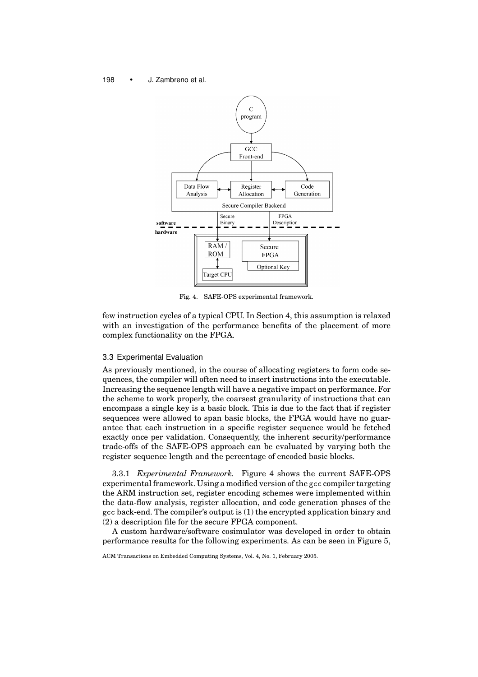

Fig. 4. SAFE-OPS experimental framework.

few instruction cycles of a typical CPU. In Section 4, this assumption is relaxed with an investigation of the performance benefits of the placement of more complex functionality on the FPGA.

# 3.3 Experimental Evaluation

As previously mentioned, in the course of allocating registers to form code sequences, the compiler will often need to insert instructions into the executable. Increasing the sequence length will have a negative impact on performance. For the scheme to work properly, the coarsest granularity of instructions that can encompass a single key is a basic block. This is due to the fact that if register sequences were allowed to span basic blocks, the FPGA would have no guarantee that each instruction in a specific register sequence would be fetched exactly once per validation. Consequently, the inherent security/performance trade-offs of the SAFE-OPS approach can be evaluated by varying both the register sequence length and the percentage of encoded basic blocks.

3.3.1 *Experimental Framework.* Figure 4 shows the current SAFE-OPS experimental framework. Using a modified version of the gcc compiler targeting the ARM instruction set, register encoding schemes were implemented within the data-flow analysis, register allocation, and code generation phases of the gcc back-end. The compiler's output is (1) the encrypted application binary and (2) a description file for the secure FPGA component.

A custom hardware/software cosimulator was developed in order to obtain performance results for the following experiments. As can be seen in Figure 5,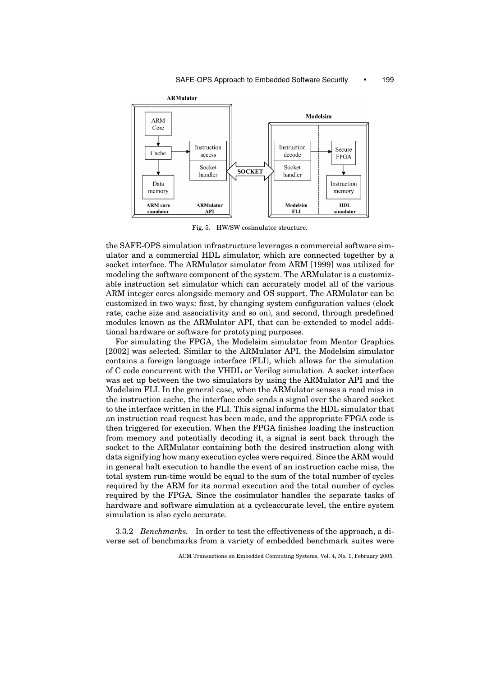

Fig. 5. HW/SW cosimulator structure.

the SAFE-OPS simulation infrastructure leverages a commercial software simulator and a commercial HDL simulator, which are connected together by a socket interface. The ARMulator simulator from ARM [1999] was utilized for modeling the software component of the system. The ARMulator is a customizable instruction set simulator which can accurately model all of the various ARM integer cores alongside memory and OS support. The ARMulator can be customized in two ways: first, by changing system configuration values (clock rate, cache size and associativity and so on), and second, through predefined modules known as the ARMulator API, that can be extended to model additional hardware or software for prototyping purposes.

For simulating the FPGA, the Modelsim simulator from Mentor Graphics [2002] was selected. Similar to the ARMulator API, the Modelsim simulator contains a foreign language interface (FLI), which allows for the simulation of C code concurrent with the VHDL or Verilog simulation. A socket interface was set up between the two simulators by using the ARMulator API and the Modelsim FLI. In the general case, when the ARMulator senses a read miss in the instruction cache, the interface code sends a signal over the shared socket to the interface written in the FLI. This signal informs the HDL simulator that an instruction read request has been made, and the appropriate FPGA code is then triggered for execution. When the FPGA finishes loading the instruction from memory and potentially decoding it, a signal is sent back through the socket to the ARMulator containing both the desired instruction along with data signifying how many execution cycles were required. Since the ARM would in general halt execution to handle the event of an instruction cache miss, the total system run-time would be equal to the sum of the total number of cycles required by the ARM for its normal execution and the total number of cycles required by the FPGA. Since the cosimulator handles the separate tasks of hardware and software simulation at a cycleaccurate level, the entire system simulation is also cycle accurate.

3.3.2 *Benchmarks.* In order to test the effectiveness of the approach, a diverse set of benchmarks from a variety of embedded benchmark suites were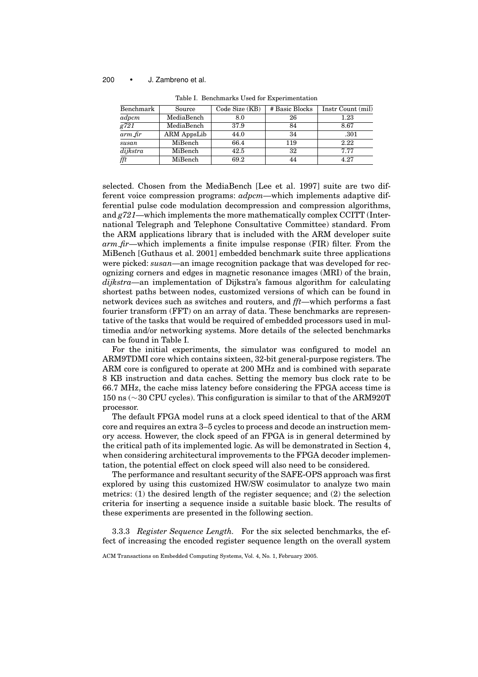| Benchmark     | Source      | Code Size (KB) | # Basic Blocks | Instr Count (mil) |
|---------------|-------------|----------------|----------------|-------------------|
| adpcm         | MediaBench  | 8.0            | 26             | 1.23              |
| $\sqrt{g721}$ | MediaBench  | 37.9           | 84             | 8.67              |
| $arm$ fir     | ARM AppsLib | 44.0           | 34             | .301              |
| susan         | MiBench     | 66.4           | 119            | 2.22              |
| dijkstra      | MiBench     | 42.5           | 32             | 7.77              |
| fft           | MiBench     | 69.2           | 44             | 4.27              |

Table I. Benchmarks Used for Experimentation

selected. Chosen from the MediaBench [Lee et al. 1997] suite are two different voice compression programs: *adpcm*—which implements adaptive differential pulse code modulation decompression and compression algorithms, and *g721*—which implements the more mathematically complex CCITT (International Telegraph and Telephone Consultative Committee) standard. From the ARM applications library that is included with the ARM developer suite *arm fir*—which implements a finite impulse response (FIR) filter. From the MiBench [Guthaus et al. 2001] embedded benchmark suite three applications were picked: *susan*—an image recognition package that was developed for recognizing corners and edges in magnetic resonance images (MRI) of the brain, *dijkstra*—an implementation of Dijkstra's famous algorithm for calculating shortest paths between nodes, customized versions of which can be found in network devices such as switches and routers, and *fft*—which performs a fast fourier transform (FFT) on an array of data. These benchmarks are representative of the tasks that would be required of embedded processors used in multimedia and/or networking systems. More details of the selected benchmarks can be found in Table I.

For the initial experiments, the simulator was configured to model an ARM9TDMI core which contains sixteen, 32-bit general-purpose registers. The ARM core is configured to operate at 200 MHz and is combined with separate 8 KB instruction and data caches. Setting the memory bus clock rate to be 66.7 MHz, the cache miss latency before considering the FPGA access time is 150 ns (∼30 CPU cycles). This configuration is similar to that of the ARM920T processor.

The default FPGA model runs at a clock speed identical to that of the ARM core and requires an extra 3–5 cycles to process and decode an instruction memory access. However, the clock speed of an FPGA is in general determined by the critical path of its implemented logic. As will be demonstrated in Section 4, when considering architectural improvements to the FPGA decoder implementation, the potential effect on clock speed will also need to be considered.

The performance and resultant security of the SAFE-OPS approach was first explored by using this customized HW/SW cosimulator to analyze two main metrics: (1) the desired length of the register sequence; and (2) the selection criteria for inserting a sequence inside a suitable basic block. The results of these experiments are presented in the following section.

3.3.3 *Register Sequence Length.* For the six selected benchmarks, the effect of increasing the encoded register sequence length on the overall system

ACM Transactions on Embedded Computing Systems, Vol. 4, No. 1, February 2005.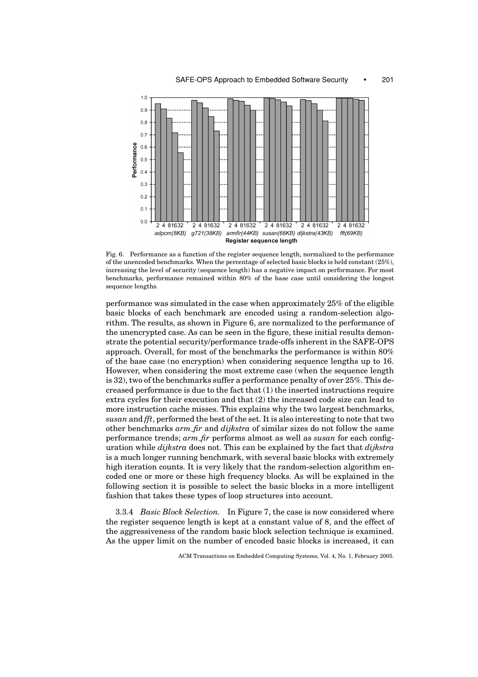

Fig. 6. Performance as a function of the register sequence length, normalized to the performance of the unencoded benchmarks. When the percentage of selected basic blocks is held constant (25%), increasing the level of security (sequence length) has a negative impact on performance. For most benchmarks, performance remained within 80% of the base case until considering the longest sequence lengths.

performance was simulated in the case when approximately 25% of the eligible basic blocks of each benchmark are encoded using a random-selection algorithm. The results, as shown in Figure 6, are normalized to the performance of the unencrypted case. As can be seen in the figure, these initial results demonstrate the potential security/performance trade-offs inherent in the SAFE-OPS approach. Overall, for most of the benchmarks the performance is within 80% of the base case (no encryption) when considering sequence lengths up to 16. However, when considering the most extreme case (when the sequence length is 32), two of the benchmarks suffer a performance penalty of over 25%. This decreased performance is due to the fact that  $(1)$  the inserted instructions require extra cycles for their execution and that (2) the increased code size can lead to more instruction cache misses. This explains why the two largest benchmarks, *susan* and *fft*, performed the best of the set. It is also interesting to note that two other benchmarks *arm fir* and *dijkstra* of similar sizes do not follow the same performance trends; *arm fir* performs almost as well as *susan* for each configuration while *dijkstra* does not. This can be explained by the fact that *dijkstra* is a much longer running benchmark, with several basic blocks with extremely high iteration counts. It is very likely that the random-selection algorithm encoded one or more or these high frequency blocks. As will be explained in the following section it is possible to select the basic blocks in a more intelligent fashion that takes these types of loop structures into account.

3.3.4 *Basic Block Selection.* In Figure 7, the case is now considered where the register sequence length is kept at a constant value of 8, and the effect of the aggressiveness of the random basic block selection technique is examined. As the upper limit on the number of encoded basic blocks is increased, it can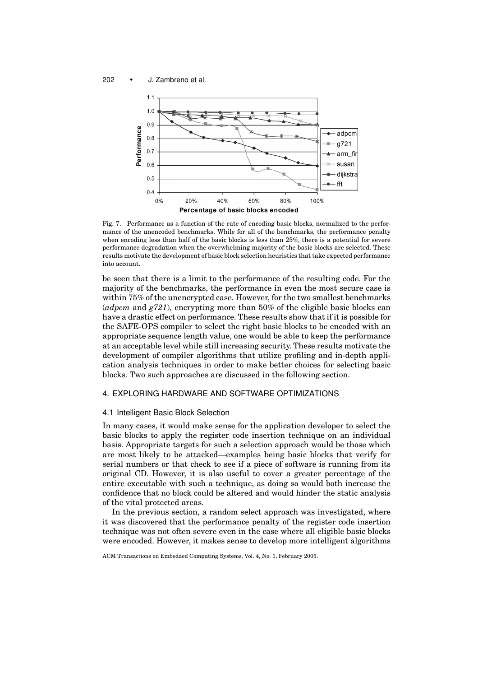

Fig. 7. Performance as a function of the rate of encoding basic blocks, normalized to the performance of the unencoded benchmarks. While for all of the benchmarks, the performance penalty when encoding less than half of the basic blocks is less than 25%, there is a potential for severe performance degradation when the overwhelming majority of the basic blocks are selected. These results motivate the development of basic block selection heuristics that take expected performance into account.

be seen that there is a limit to the performance of the resulting code. For the majority of the benchmarks, the performance in even the most secure case is within 75% of the unencrypted case. However, for the two smallest benchmarks (*adpcm* and *g721*), encrypting more than 50% of the eligible basic blocks can have a drastic effect on performance. These results show that if it is possible for the SAFE-OPS compiler to select the right basic blocks to be encoded with an appropriate sequence length value, one would be able to keep the performance at an acceptable level while still increasing security. These results motivate the development of compiler algorithms that utilize profiling and in-depth application analysis techniques in order to make better choices for selecting basic blocks. Two such approaches are discussed in the following section.

# 4. EXPLORING HARDWARE AND SOFTWARE OPTIMIZATIONS

#### 4.1 Intelligent Basic Block Selection

In many cases, it would make sense for the application developer to select the basic blocks to apply the register code insertion technique on an individual basis. Appropriate targets for such a selection approach would be those which are most likely to be attacked—examples being basic blocks that verify for serial numbers or that check to see if a piece of software is running from its original CD. However, it is also useful to cover a greater percentage of the entire executable with such a technique, as doing so would both increase the confidence that no block could be altered and would hinder the static analysis of the vital protected areas.

In the previous section, a random select approach was investigated, where it was discovered that the performance penalty of the register code insertion technique was not often severe even in the case where all eligible basic blocks were encoded. However, it makes sense to develop more intelligent algorithms

ACM Transactions on Embedded Computing Systems, Vol. 4, No. 1, February 2005.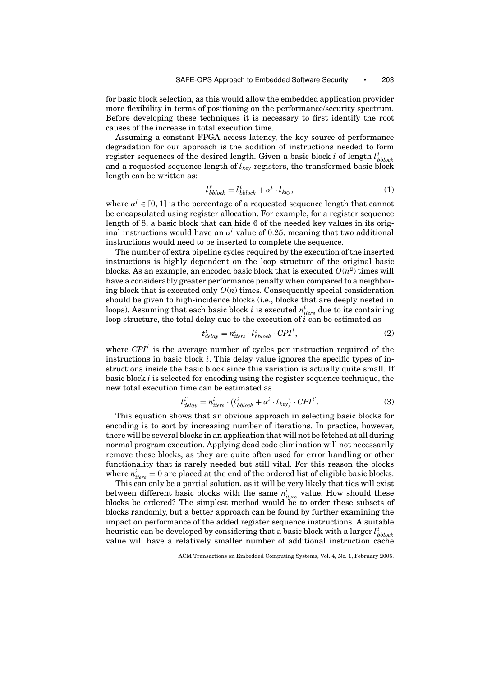for basic block selection, as this would allow the embedded application provider more flexibility in terms of positioning on the performance/security spectrum. Before developing these techniques it is necessary to first identify the root causes of the increase in total execution time.

Assuming a constant FPGA access latency, the key source of performance degradation for our approach is the addition of instructions needed to form register sequences of the desired length. Given a basic block *i* of length  $l_{\text{bblock}}^i$ and a requested sequence length of  $l_{key}$  registers, the transformed basic block length can be written as:

$$
l_{bblock}^{i'} = l_{bblock}^{i} + \alpha^{i} \cdot l_{key}, \tag{1}
$$

where  $\alpha^i \in [0, 1]$  is the percentage of a requested sequence length that cannot be encapsulated using register allocation. For example, for a register sequence length of 8, a basic block that can hide 6 of the needed key values in its original instructions would have an  $\alpha^i$  value of 0.25, meaning that two additional instructions would need to be inserted to complete the sequence.

The number of extra pipeline cycles required by the execution of the inserted instructions is highly dependent on the loop structure of the original basic blocks. As an example, an encoded basic block that is executed  $O(n^2)$  times will have a considerably greater performance penalty when compared to a neighboring block that is executed only  $O(n)$  times. Consequently special consideration should be given to high-incidence blocks (i.e., blocks that are deeply nested in loops). Assuming that each basic block  $i$  is executed  $n_{iters}^i$  due to its containing loop structure, the total delay due to the execution of *i* can be estimated as

$$
t_{delay}^i = n_{iters}^i \cdot l_{bblock}^i \cdot CPI^i,\tag{2}
$$

where  $CPI<sup>i</sup>$  is the average number of cycles per instruction required of the instructions in basic block *i*. This delay value ignores the specific types of instructions inside the basic block since this variation is actually quite small. If basic block *i* is selected for encoding using the register sequence technique, the new total execution time can be estimated as

$$
t_{delay}^{i'} = n_{iters}^{i} \cdot (l_{\text{block}}^{i} + \alpha^{i} \cdot l_{\text{key}}) \cdot \text{CPI}^{i'}.
$$
 (3)

This equation shows that an obvious approach in selecting basic blocks for encoding is to sort by increasing number of iterations. In practice, however, there will be several blocks in an application that will not be fetched at all during normal program execution. Applying dead code elimination will not necessarily remove these blocks, as they are quite often used for error handling or other functionality that is rarely needed but still vital. For this reason the blocks where  $n_{iters}^i = 0$  are placed at the end of the ordered list of eligible basic blocks.

This can only be a partial solution, as it will be very likely that ties will exist between different basic blocks with the same  $n_{iters}^i$  value. How should these blocks be ordered? The simplest method would be to order these subsets of blocks randomly, but a better approach can be found by further examining the impact on performance of the added register sequence instructions. A suitable heuristic can be developed by considering that a basic block with a larger  $l_{\textit{bblock}}^{\textit{i}}$ value will have a relatively smaller number of additional instruction cache

ACM Transactions on Embedded Computing Systems, Vol. 4, No. 1, February 2005.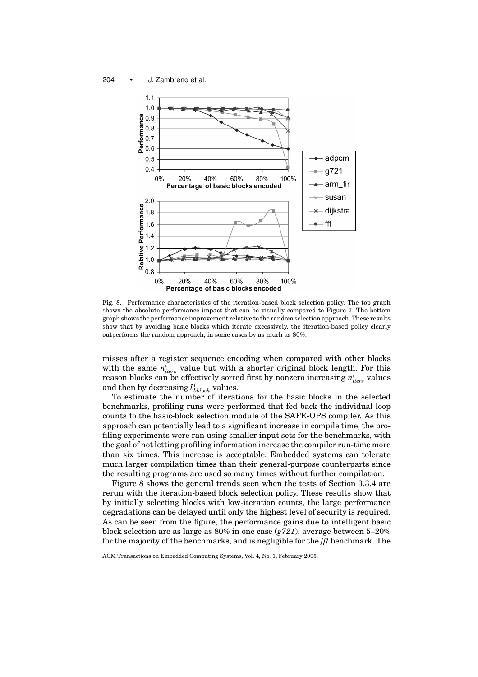

Fig. 8. Performance characteristics of the iteration-based block selection policy. The top graph shows the absolute performance impact that can be visually compared to Figure 7. The bottom graph shows the performance improvement relative to the random selection approach. These results show that by avoiding basic blocks which iterate excessively, the iteration-based policy clearly outperforms the random approach, in some cases by as much as 80%.

misses after a register sequence encoding when compared with other blocks with the same  $n_{iters}^i$  value but with a shorter original block length. For this reason blocks can be effectively sorted first by nonzero increasing  $n_{iters}^i$  values and then by decreasing  $l_{\textit{bblock}}^i$  values.

To estimate the number of iterations for the basic blocks in the selected benchmarks, profiling runs were performed that fed back the individual loop counts to the basic-block selection module of the SAFE-OPS compiler. As this approach can potentially lead to a significant increase in compile time, the profiling experiments were ran using smaller input sets for the benchmarks, with the goal of not letting profiling information increase the compiler run-time more than six times. This increase is acceptable. Embedded systems can tolerate much larger compilation times than their general-purpose counterparts since the resulting programs are used so many times without further compilation.

Figure 8 shows the general trends seen when the tests of Section 3.3.4 are rerun with the iteration-based block selection policy. These results show that by initially selecting blocks with low-iteration counts, the large performance degradations can be delayed until only the highest level of security is required. As can be seen from the figure, the performance gains due to intelligent basic block selection are as large as 80% in one case (*g721*), average between 5–20% for the majority of the benchmarks, and is negligible for the *fft* benchmark. The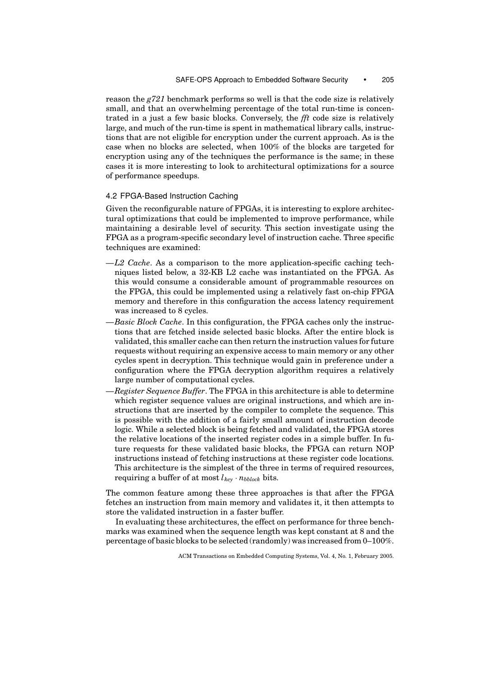reason the *g721* benchmark performs so well is that the code size is relatively small, and that an overwhelming percentage of the total run-time is concentrated in a just a few basic blocks. Conversely, the *fft* code size is relatively large, and much of the run-time is spent in mathematical library calls, instructions that are not eligible for encryption under the current approach. As is the case when no blocks are selected, when 100% of the blocks are targeted for encryption using any of the techniques the performance is the same; in these cases it is more interesting to look to architectural optimizations for a source of performance speedups.

# 4.2 FPGA-Based Instruction Caching

Given the reconfigurable nature of FPGAs, it is interesting to explore architectural optimizations that could be implemented to improve performance, while maintaining a desirable level of security. This section investigate using the FPGA as a program-specific secondary level of instruction cache. Three specific techniques are examined:

- —*L2 Cache*. As a comparison to the more application-specific caching techniques listed below, a 32-KB L2 cache was instantiated on the FPGA. As this would consume a considerable amount of programmable resources on the FPGA, this could be implemented using a relatively fast on-chip FPGA memory and therefore in this configuration the access latency requirement was increased to 8 cycles.
- —*Basic Block Cache*. In this configuration, the FPGA caches only the instructions that are fetched inside selected basic blocks. After the entire block is validated, this smaller cache can then return the instruction values for future requests without requiring an expensive access to main memory or any other cycles spent in decryption. This technique would gain in preference under a configuration where the FPGA decryption algorithm requires a relatively large number of computational cycles.
- —*Register Sequence Buffer*. The FPGA in this architecture is able to determine which register sequence values are original instructions, and which are instructions that are inserted by the compiler to complete the sequence. This is possible with the addition of a fairly small amount of instruction decode logic. While a selected block is being fetched and validated, the FPGA stores the relative locations of the inserted register codes in a simple buffer. In future requests for these validated basic blocks, the FPGA can return NOP instructions instead of fetching instructions at these register code locations. This architecture is the simplest of the three in terms of required resources, requiring a buffer of at most  $l_{key} \cdot n_{bblock}$  bits.

The common feature among these three approaches is that after the FPGA fetches an instruction from main memory and validates it, it then attempts to store the validated instruction in a faster buffer.

In evaluating these architectures, the effect on performance for three benchmarks was examined when the sequence length was kept constant at 8 and the percentage of basic blocks to be selected (randomly) was increased from 0–100%.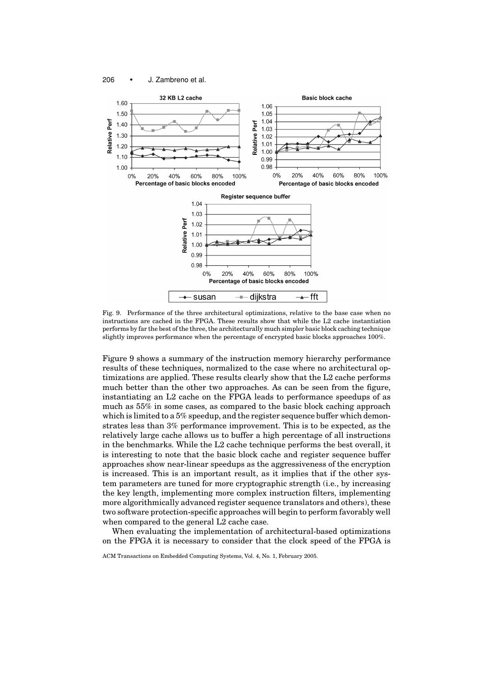

Fig. 9. Performance of the three architectural optimizations, relative to the base case when no instructions are cached in the FPGA. These results show that while the L2 cache instantiation performs by far the best of the three, the architecturally much simpler basic block caching technique slightly improves performance when the percentage of encrypted basic blocks approaches 100%.

Figure 9 shows a summary of the instruction memory hierarchy performance results of these techniques, normalized to the case where no architectural optimizations are applied. These results clearly show that the L2 cache performs much better than the other two approaches. As can be seen from the figure, instantiating an L2 cache on the FPGA leads to performance speedups of as much as 55% in some cases, as compared to the basic block caching approach which is limited to a 5% speedup, and the register sequence buffer which demonstrates less than 3% performance improvement. This is to be expected, as the relatively large cache allows us to buffer a high percentage of all instructions in the benchmarks. While the L2 cache technique performs the best overall, it is interesting to note that the basic block cache and register sequence buffer approaches show near-linear speedups as the aggressiveness of the encryption is increased. This is an important result, as it implies that if the other system parameters are tuned for more cryptographic strength (i.e., by increasing the key length, implementing more complex instruction filters, implementing more algorithmically advanced register sequence translators and others), these two software protection-specific approaches will begin to perform favorably well when compared to the general L2 cache case.

When evaluating the implementation of architectural-based optimizations on the FPGA it is necessary to consider that the clock speed of the FPGA is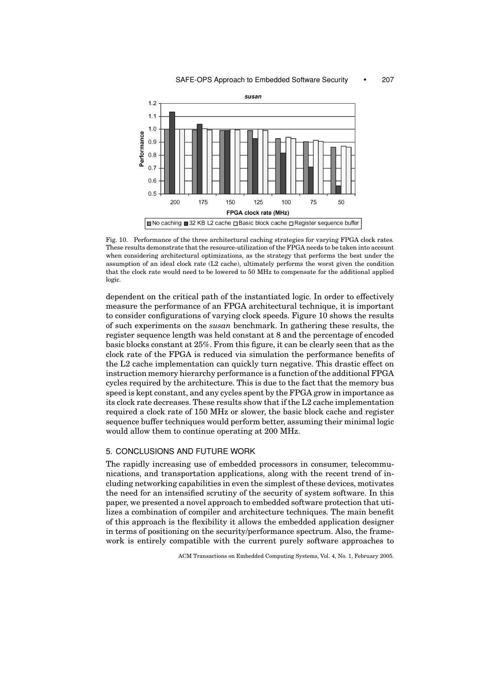#### SAFE-OPS Approach to Embedded Software Security • 207



Fig. 10. Performance of the three architectural caching strategies for varying FPGA clock rates. These results demonstrate that the resource-utilization of the FPGA needs to be taken into account when considering architectural optimizations, as the strategy that performs the best under the assumption of an ideal clock rate (L2 cache), ultimately performs the worst given the condition that the clock rate would need to be lowered to 50 MHz to compensate for the additional applied logic.

dependent on the critical path of the instantiated logic. In order to effectively measure the performance of an FPGA architectural technique, it is important to consider configurations of varying clock speeds. Figure 10 shows the results of such experiments on the *susan* benchmark. In gathering these results, the register sequence length was held constant at 8 and the percentage of encoded basic blocks constant at 25%. From this figure, it can be clearly seen that as the clock rate of the FPGA is reduced via simulation the performance benefits of the L2 cache implementation can quickly turn negative. This drastic effect on instruction memory hierarchy performance is a function of the additional FPGA cycles required by the architecture. This is due to the fact that the memory bus speed is kept constant, and any cycles spent by the FPGA grow in importance as its clock rate decreases. These results show that if the L2 cache implementation required a clock rate of 150 MHz or slower, the basic block cache and register sequence buffer techniques would perform better, assuming their minimal logic would allow them to continue operating at 200 MHz.

# 5. CONCLUSIONS AND FUTURE WORK

The rapidly increasing use of embedded processors in consumer, telecommunications, and transportation applications, along with the recent trend of including networking capabilities in even the simplest of these devices, motivates the need for an intensified scrutiny of the security of system software. In this paper, we presented a novel approach to embedded software protection that utilizes a combination of compiler and architecture techniques. The main benefit of this approach is the flexibility it allows the embedded application designer in terms of positioning on the security/performance spectrum. Also, the framework is entirely compatible with the current purely software approaches to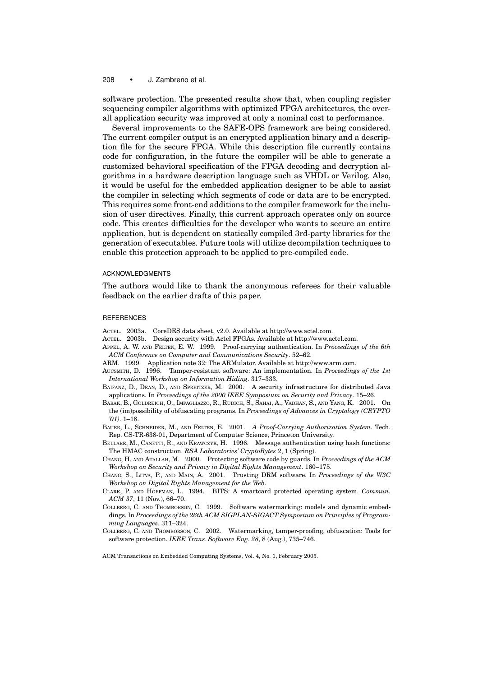software protection. The presented results show that, when coupling register sequencing compiler algorithms with optimized FPGA architectures, the overall application security was improved at only a nominal cost to performance.

Several improvements to the SAFE-OPS framework are being considered. The current compiler output is an encrypted application binary and a description file for the secure FPGA. While this description file currently contains code for configuration, in the future the compiler will be able to generate a customized behavioral specification of the FPGA decoding and decryption algorithms in a hardware description language such as VHDL or Verilog. Also, it would be useful for the embedded application designer to be able to assist the compiler in selecting which segments of code or data are to be encrypted. This requires some front-end additions to the compiler framework for the inclusion of user directives. Finally, this current approach operates only on source code. This creates difficulties for the developer who wants to secure an entire application, but is dependent on statically compiled 3rd-party libraries for the generation of executables. Future tools will utilize decompilation techniques to enable this protection approach to be applied to pre-compiled code.

## ACKNOWLEDGMENTS

The authors would like to thank the anonymous referees for their valuable feedback on the earlier drafts of this paper.

#### **REFERENCES**

ACTEL. 2003a. CoreDES data sheet, v2.0. Available at http://www.actel.com.

- ACTEL. 2003b. Design security with Actel FPGAs. Available at http://www.actel.com.
- APPEL, A. W. AND FELTEN, E. W. 1999. Proof-carrying authentication. In *Proceedings of the 6th ACM Conference on Computer and Communications Security*. 52–62.
- ARM. 1999. Application note 32: The ARMulator. Available at http://www.arm.com.
- AUCSMITH, D. 1996. Tamper-resistant software: An implementation. In *Proceedings of the 1st International Workshop on Information Hiding*. 317–333.
- BAIFANZ, D., DEAN, D., AND SPREITZER, M. 2000. A security infrastructure for distributed Java applications. In *Proceedings of the 2000 IEEE Symposium on Security and Privacy*. 15–26.
- BARAK, B., GOLDREICH, O., IMPAGLIAZZO, R., RUDICH, S., SAHAI, A., VADHAN, S., AND YANG, K. 2001. On the (im)possibility of obfuscating programs. In *Proceedings of Advances in Cryptology (CRYPTO '01)*. 1–18.
- BAUER, L., SCHNEIDER, M., AND FELTEN, E. 2001. *A Proof-Carrying Authorization System*. Tech. Rep. CS-TR-638-01, Department of Computer Science, Princeton University.
- BELLARE, M., CANETTI, R., AND KRAWCZYK, H. 1996. Message authentication using hash functions: The HMAC construction. *RSA Laboratories' CryptoBytes 2*, 1 (Spring).
- CHANG, H. AND ATALLAH, M. 2000. Protecting software code by guards. In *Proceedings of the ACM Workshop on Security and Privacy in Digital Rights Management*. 160–175.
- CHANG, S., LITVA, P., AND MAIN, A. 2001. Trusting DRM software. In *Proceedings of the W3C Workshop on Digital Rights Management for the Web*.
- CLARK, P. AND HOFFMAN, L. 1994. BITS: A smartcard protected operating system. *Commun. ACM 37*, 11 (Nov.), 66–70.
- COLLBERG, C. AND THOMBORSON, C. 1999. Software watermarking: models and dynamic embeddings. In *Proceedings of the 26th ACM SIGPLAN-SIGACT Symposium on Principles of Programming Languages*. 311–324.
- COLLBERG, C. AND THOMBORSON, C. 2002. Watermarking, tamper-proofing, obfuscation: Tools for software protection. *IEEE Trans. Software Eng. 28*, 8 (Aug.), 735–746.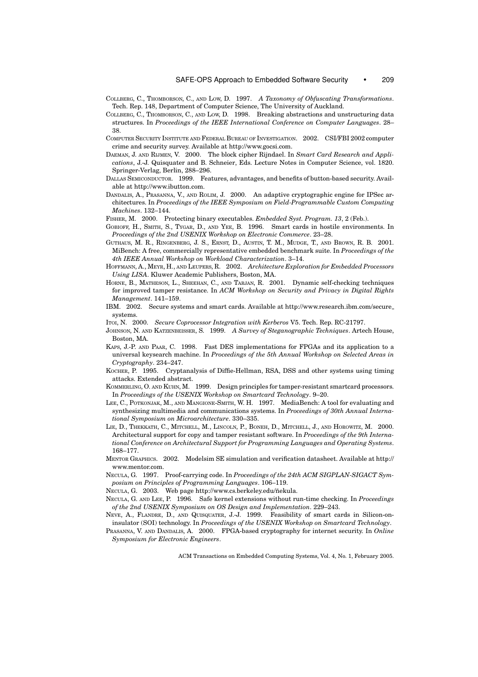- COLLBERG, C., THOMBORSON, C., AND LOW, D. 1997. *A Taxonomy of Obfuscating Transformations*. Tech. Rep. 148, Department of Computer Science, The University of Auckland.
- COLLBERG, C., THOMBORSON, C., AND LOW, D. 1998. Breaking abstractions and unstructuring data structures. In *Proceedings of the IEEE International Conference on Computer Languages*. 28– 38.
- COMPUTER SECURITY INSTITUTE AND FEDERAL BUREAU OF INVESTIGATION. 2002. CSI/FBI 2002 computer crime and security survey. Available at http://www.gocsi.com.
- DAEMAN, J. AND RIJMEN, V. 2000. The block cipher Rijndael. In *Smart Card Research and Applications*, J.-J. Quisquater and B. Schneier, Eds. Lecture Notes in Computer Science, vol. 1820. Springer-Verlag, Berlin, 288–296.
- DALLAS SEMICONDUCTOR. 1999. Features, advantages, and benefits of button-based security. Available at http://www.ibutton.com.
- DANDALIS, A., PRASANNA, V., AND ROLIM, J. 2000. An adaptive cryptographic engine for IPSec architectures. In *Proceedings of the IEEE Symposium on Field-Programmable Custom Computing Machines*. 132–144.
- FISHER, M. 2000. Protecting binary executables. *Embedded Syst. Program. 13*, 2 (Feb.).
- GOBIOFF, H., SMITH, S., TYGAR, D., AND YEE, B. 1996. Smart cards in hostile environments. In *Proceedings of the 2nd USENIX Workshop on Electronic Commerce*. 23–28.
- GUTHAUS, M. R., RINGENBERG, J. S., ERNST, D., AUSTIN, T. M., MUDGE, T., AND BROWN, R. B. 2001. MiBench: A free, commercially representative embedded benchmark suite. In *Proceedings of the 4th IEEE Annual Workshop on Workload Characterization*. 3–14.
- HOFFMANN, A., MEYR, H., AND LEUPERS, R. 2002. *Architecture Exploration for Embedded Processors Using LISA*. Kluwer Academic Publishers, Boston, MA.
- HORNE, B., MATHESON, L., SHEEHAN, C., AND TARJAN, R. 2001. Dynamic self-checking techniques for improved tamper resistance. In *ACM Workshop on Security and Privacy in Digital Rights Management*. 141–159.
- IBM. 2002. Secure systems and smart cards. Available at http://www.research.ibm.com/secure systems.
- ITOI, N. 2000. *Secure Coprocessor Integration with Kerberos* V5. Tech. Rep. RC-21797.
- JOHNSON, N. AND KATZENBEISSER, S. 1999. *A Survey of Steganographic Techniques*. Artech House, Boston, MA.
- KAPS, J.-P. AND PAAR, C. 1998. Fast DES implementations for FPGAs and its application to a universal keysearch machine. In *Proceedings of the 5th Annual Workshop on Selected Areas in Cryptography*. 234–247.
- KOCHER, P. 1995. Cryptanalysis of Diffie-Hellman, RSA, DSS and other systems using timing attacks. Extended abstract.
- KOMMERLING, O. AND KUHN, M. 1999. Design principles for tamper-resistant smartcard processors. In *Proceedings of the USENIX Workshop on Smartcard Technology*. 9–20.
- LEE, C., POTKONJAK, M., AND MANGIONE-SMITH, W. H. 1997. MediaBench: A tool for evaluating and synthesizing multimedia and communications systems. In *Proceedings of 30th Annual International Symposium on Microarchitecture*. 330–335.
- LIE, D., THEKKATH, C., MITCHELL, M., LINCOLN, P., BONEH, D., MITCHELL, J., AND HOROWITZ, M. 2000. Architectural support for copy and tamper resistant software. In *Proceedings of the 9th International Conference on Architectural Support for Programming Languages and Operating Systems*. 168–177.
- MENTOR GRAPHICS. 2002. Modelsim SE simulation and verification datasheet. Available at http:// www.mentor.com.
- NECULA, G. 1997. Proof-carrying code. In *Proceedings of the 24th ACM SIGPLAN-SIGACT Symposium on Principles of Programming Languages*. 106–119.
- NECULA, G. 2003. Web page http://www.cs.berkeley.edu/ñekula.
- NECULA, G. AND LEE, P. 1996. Safe kernel extensions without run-time checking. In *Proceedings of the 2nd USENIX Symposium on OS Design and Implementation*. 229–243.
- NEVE, A., FLANDRE, D., AND QUISQUATER, J.-J. 1999. Feasibility of smart cards in Silicon-oninsulator (SOI) technology. In *Proceedings of the USENIX Workshop on Smartcard Technology*.
- PRASANNA, V. AND DANDALIS, A. 2000. FPGA-based cryptography for internet security. In *Online Symposium for Electronic Engineers*.